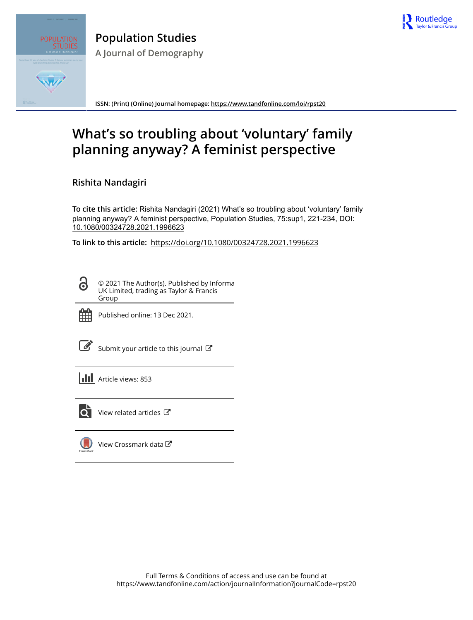



**Population Studies A Journal of Demography**

**ISSN: (Print) (Online) Journal homepage:<https://www.tandfonline.com/loi/rpst20>**

# **What's so troubling about 'voluntary' family planning anyway? A feminist perspective**

**Rishita Nandagiri**

**To cite this article:** Rishita Nandagiri (2021) What's so troubling about 'voluntary' family planning anyway? A feminist perspective, Population Studies, 75:sup1, 221-234, DOI: [10.1080/00324728.2021.1996623](https://www.tandfonline.com/action/showCitFormats?doi=10.1080/00324728.2021.1996623)

**To link to this article:** <https://doi.org/10.1080/00324728.2021.1996623>

© 2021 The Author(s). Published by Informa UK Limited, trading as Taylor & Francis Group



ര

Published online: 13 Dec 2021.

[Submit your article to this journal](https://www.tandfonline.com/action/authorSubmission?journalCode=rpst20&show=instructions)  $\mathbb{Z}$ 

**III** Article views: 853



 $\overline{Q}$  [View related articles](https://www.tandfonline.com/doi/mlt/10.1080/00324728.2021.1996623)  $\overline{C}$ 

[View Crossmark data](http://crossmark.crossref.org/dialog/?doi=10.1080/00324728.2021.1996623&domain=pdf&date_stamp=2021-12-13)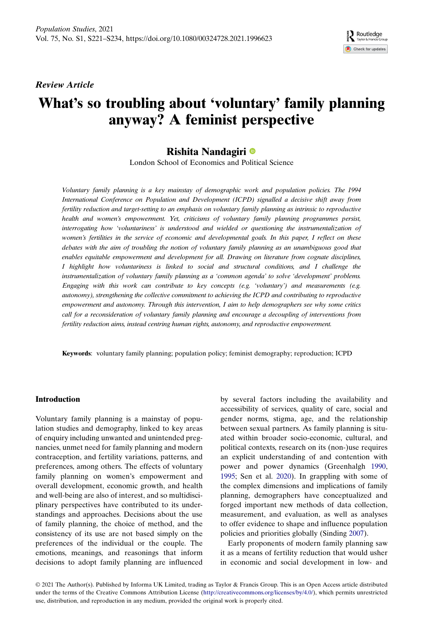Review Article

# What's so troubling about 'voluntary' family planning anyway? A feminist perspective

## Rishita Nandagiri

London School of Economics and Political Science

Voluntary family planning is a key mainstay of demographic work and population policies. The 1994 International Conference on Population and Development (ICPD) signalled a decisive shift away from fertility reduction and target-setting to an emphasis on voluntary family planning as intrinsic to reproductive health and women's empowerment. Yet, criticisms of voluntary family planning programmes persist, interrogating how 'voluntariness' is understood and wielded or questioning the instrumentalization of women's fertilities in the service of economic and developmental goals. In this paper, I reflect on these debates with the aim of troubling the notion of voluntary family planning as an unambiguous good that enables equitable empowerment and development for all. Drawing on literature from cognate disciplines, I highlight how voluntariness is linked to social and structural conditions, and I challenge the instrumentalization of voluntary family planning as a 'common agenda' to solve 'development' problems. Engaging with this work can contribute to key concepts (e.g. 'voluntary') and measurements (e.g. autonomy), strengthening the collective commitment to achieving the ICPD and contributing to reproductive empowerment and autonomy. Through this intervention, I aim to help demographers see why some critics call for a reconsideration of voluntary family planning and encourage a decoupling of interventions from fertility reduction aims, instead centring human rights, autonomy, and reproductive empowerment.

Keywords: voluntary family planning; population policy; feminist demography; reproduction; ICPD

## Introduction

Voluntary family planning is a mainstay of population studies and demography, linked to key areas of enquiry including unwanted and unintended pregnancies, unmet need for family planning and modern contraception, and fertility variations, patterns, and preferences, among others. The effects of voluntary family planning on women's empowerment and overall development, economic growth, and health and well-being are also of interest, and so multidisciplinary perspectives have contributed to its understandings and approaches. Decisions about the use of family planning, the choice of method, and the consistency of its use are not based simply on the preferences of the individual or the couple. The emotions, meanings, and reasonings that inform decisions to adopt family planning are influenced

<span id="page-1-1"></span><span id="page-1-0"></span>by several factors including the availability and accessibility of services, quality of care, social and gender norms, stigma, age, and the relationship between sexual partners. As family planning is situated within broader socio-economic, cultural, and political contexts, research on its (non-)use requires an explicit understanding of and contention with power and power dynamics (Greenhalgh [1990](#page-11-0), [1995](#page-11-1); Sen et al. [2020\)](#page-13-0). In grappling with some of the complex dimensions and implications of family planning, demographers have conceptualized and forged important new methods of data collection, measurement, and evaluation, as well as analyses to offer evidence to shape and influence population policies and priorities globally (Sinding [2007\)](#page-13-1).

Routledge Check for updates

<span id="page-1-2"></span>Early proponents of modern family planning saw it as a means of fertility reduction that would usher in economic and social development in low- and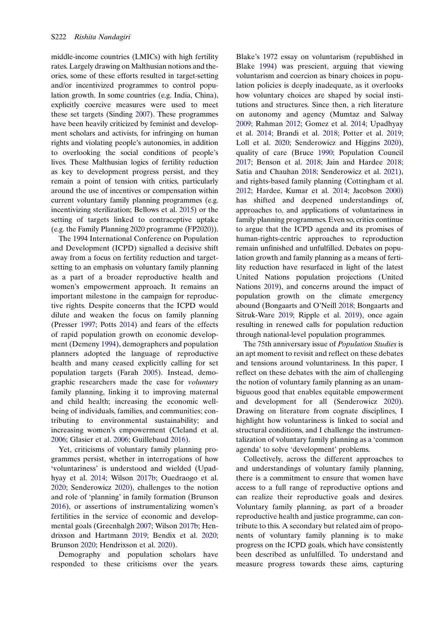middle-income countries (LMICs) with high fertility rates. Largely drawing on Malthusian notions and theories, some of these efforts resulted in target-setting and/or incentivized programmes to control population growth. In some countries (e.g. India, China), explicitly coercive measures were used to meet these set targets (Sinding [2007](#page-13-1)). These programmes have been heavily criticized by feminist and development scholars and activists, for infringing on human rights and violating people's autonomies, in addition to overlooking the social conditions of people's lives. These Malthusian logics of fertility reduction as key to development progress persist, and they remain a point of tension with critics, particularly around the use of incentives or compensation within current voluntary family planning programmes (e.g. incentivizing sterilization; Bellows et al. [2015](#page-10-0)) or the setting of targets linked to contraceptive uptake (e.g. the Family Planning 2020 programme (FP2020)).

<span id="page-2-21"></span><span id="page-2-12"></span><span id="page-2-0"></span>The 1994 International Conference on Population and Development (ICPD) signalled a decisive shift away from a focus on fertility reduction and targetsetting to an emphasis on voluntary family planning as a part of a broader reproductive health and women's empowerment approach. It remains an important milestone in the campaign for reproductive rights. Despite concerns that the ICPD would dilute and weaken the focus on family planning (Presser [1997](#page-13-2); Potts [2014](#page-13-3)) and fears of the effects of rapid population growth on economic development (Demeny [1994](#page-10-1)), demographers and population planners adopted the language of reproductive health and many ceased explicitly calling for set population targets (Farah [2005](#page-11-2)). Instead, demographic researchers made the case for voluntary family planning, linking it to improving maternal and child health; increasing the economic wellbeing of individuals, families, and communities; contributing to environmental sustainability; and increasing women's empowerment (Cleland et al. [2006](#page-10-2); Glasier et al. [2006](#page-11-3); Guillebaud [2016\)](#page-11-4).

<span id="page-2-20"></span><span id="page-2-14"></span><span id="page-2-13"></span><span id="page-2-10"></span><span id="page-2-8"></span>Yet, criticisms of voluntary family planning programmes persist, whether in interrogations of how 'voluntariness' is understood and wielded (Upadhyay et al. [2014](#page-14-0); Wilson [2017b](#page-14-1); Ouedraogo et al. [2020](#page-12-0); Senderowicz [2020\)](#page-13-4), challenges to the notion and role of 'planning' in family formation (Brunson [2016](#page-10-3)), or assertions of instrumentalizing women's fertilities in the service of economic and developmental goals (Greenhalgh [2007](#page-11-5); Wilson [2017b;](#page-14-1) Hendrixson and Hartmann [2019](#page-12-1); Bendix et al. [2020;](#page-10-4) Brunson [2020;](#page-10-5) Hendrixson et al. [2020\)](#page-12-2).

<span id="page-2-16"></span><span id="page-2-9"></span><span id="page-2-1"></span>Demography and population scholars have responded to these criticisms over the years. <span id="page-2-22"></span><span id="page-2-19"></span><span id="page-2-18"></span><span id="page-2-17"></span><span id="page-2-15"></span><span id="page-2-11"></span><span id="page-2-7"></span><span id="page-2-6"></span><span id="page-2-3"></span><span id="page-2-2"></span>Blake's 1972 essay on voluntarism (republished in Blake [1994\)](#page-10-6) was prescient, arguing that viewing voluntarism and coercion as binary choices in population policies is deeply inadequate, as it overlooks how voluntary choices are shaped by social institutions and structures. Since then, a rich literature on autonomy and agency (Mumtaz and Salway [2009](#page-12-3); Rahman [2012;](#page-13-5) Gomez et al. [2014;](#page-11-6) Upadhyay et al. [2014](#page-14-0); Brandi et al. [2018](#page-10-7); Potter et al. [2019;](#page-13-6) Loll et al. [2020;](#page-12-4) Senderowicz and Higgins [2020\)](#page-13-7), quality of care (Bruce [1990](#page-10-8); Population Council [2017](#page-13-8); Benson et al. [2018](#page-10-9); Jain and Hardee [2018;](#page-12-5) Satia and Chauhan [2018](#page-13-9); Senderowicz et al. [2021\)](#page-13-10), and rights-based family planning (Cottingham et al. [2012](#page-10-10); Hardee, Kumar et al. [2014](#page-11-7); Jacobson [2000](#page-12-6)) has shifted and deepened understandings of, approaches to, and applications of voluntariness in family planning programmes. Even so, critics continue to argue that the ICPD agenda and its promises of human-rights-centric approaches to reproduction remain unfinished and unfulfilled. Debates on population growth and family planning as a means of fertility reduction have resurfaced in light of the latest United Nations population projections (United Nations [2019\)](#page-14-2), and concerns around the impact of population growth on the climate emergency abound (Bongaarts and O'Neill [2018](#page-10-11); Bongaarts and Sitruk-Ware [2019](#page-10-12); Ripple et al. [2019](#page-13-11)), once again resulting in renewed calls for population reduction through national-level population programmes.

<span id="page-2-24"></span><span id="page-2-23"></span><span id="page-2-5"></span><span id="page-2-4"></span>The 75th anniversary issue of Population Studies is an apt moment to revisit and reflect on these debates and tensions around voluntariness. In this paper, I reflect on these debates with the aim of challenging the notion of voluntary family planning as an unambiguous good that enables equitable empowerment and development for all (Senderowicz [2020\)](#page-13-4). Drawing on literature from cognate disciplines, I highlight how voluntariness is linked to social and structural conditions, and I challenge the instrumentalization of voluntary family planning as a 'common agenda' to solve 'development' problems.

Collectively, across the different approaches to and understandings of voluntary family planning, there is a commitment to ensure that women have access to a full range of reproductive options and can realize their reproductive goals and desires. Voluntary family planning, as part of a broader reproductive health and justice programme, can contribute to this. A secondary but related aim of proponents of voluntary family planning is to make progress on the ICPD goals, which have consistently been described as unfulfilled. To understand and measure progress towards these aims, capturing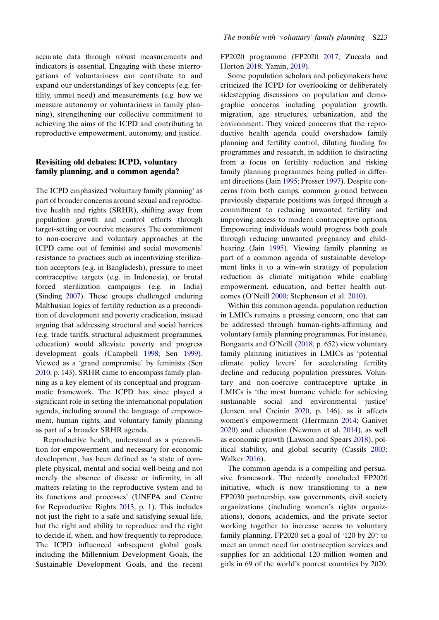accurate data through robust measurements and indicators is essential. Engaging with these interrogations of voluntariness can contribute to and expand our understandings of key concepts (e.g. fertility, unmet need) and measurements (e.g. how we measure autonomy or voluntariness in family planning), strengthening our collective commitment to achieving the aims of the ICPD and contributing to reproductive empowerment, autonomy, and justice.

## Revisiting old debates: ICPD, voluntary family planning, and a common agenda?

The ICPD emphasized 'voluntary family planning' as part of broader concerns around sexual and reproductive health and rights (SRHR), shifting away from population growth and control efforts through target-setting or coercive measures. The commitment to non-coercive and voluntary approaches at the ICPD came out of feminist and social movements' resistance to practices such as incentivizing sterilization acceptors (e.g. in Bangladesh), pressure to meet contraceptive targets (e.g. in Indonesia), or brutal forced sterilization campaigns (e.g. in India) (Sinding [2007](#page-13-1)). These groups challenged enduring Malthusian logics of fertility reduction as a precondition of development and poverty eradication, instead arguing that addressing structural and social barriers (e.g. trade tariffs, structural adjustment programmes, education) would alleviate poverty and progress development goals (Campbell [1998;](#page-10-13) Sen [1999\)](#page-13-12). Viewed as a 'grand compromise' by feminists (Sen [2010,](#page-13-13) p. 143), SRHR came to encompass family planning as a key element of its conceptual and programmatic framework. The ICPD has since played a significant role in setting the international population agenda, including around the language of empowerment, human rights, and voluntary family planning as part of a broader SRHR agenda.

<span id="page-3-10"></span><span id="page-3-9"></span><span id="page-3-0"></span>Reproductive health, understood as a precondition for empowerment and necessary for economic development, has been defined as 'a state of complete physical, mental and social well-being and not merely the absence of disease or infirmity, in all matters relating to the reproductive system and to its functions and processes' (UNFPA and Centre for Reproductive Rights [2013,](#page-13-14) p. 1). This includes not just the right to a safe and satisfying sexual life, but the right and ability to reproduce and the right to decide if, when, and how frequently to reproduce. The ICPD influenced subsequent global goals, including the Millennium Development Goals, the Sustainable Development Goals, and the recent <span id="page-3-12"></span><span id="page-3-2"></span>FP2020 programme (FP2020 [2017;](#page-11-8) Zuccala and Horton [2018](#page-14-3); Yamin, [2019\)](#page-14-4).

Some population scholars and policymakers have criticized the ICPD for overlooking or deliberately sidestepping discussions on population and demographic concerns including population growth, migration, age structures, urbanization, and the environment. They voiced concerns that the reproductive health agenda could overshadow family planning and fertility control, diluting funding for programmes and research, in addition to distracting from a focus on fertility reduction and risking family planning programmes being pulled in different directions (Jain [1995](#page-12-7); Presser [1997](#page-13-2)). Despite concerns from both camps, common ground between previously disparate positions was forged through a commitment to reducing unwanted fertility and improving access to modern contraceptive options. Empowering individuals would progress both goals through reducing unwanted pregnancy and childbearing (Jain [1995](#page-12-7)). Viewing family planning as part of a common agenda of sustainable development links it to a win–win strategy of population reduction as climate mitigation while enabling empowerment, education, and better health outcomes (O'Neill [2000](#page-12-8); Stephenson et al. [2010](#page-13-15)).

<span id="page-3-8"></span><span id="page-3-4"></span>Within this common agenda, population reduction in LMICs remains a pressing concern, one that can be addressed through human-rights-affirming and voluntary family planning programmes. For instance, Bongaarts and O'Neill [\(2018](#page-10-11), p. 652) view voluntary family planning initiatives in LMICs as 'potential climate policy levers' for accelerating fertility decline and reducing population pressures. Voluntary and non-coercive contraceptive uptake in LMICs is 'the most humane vehicle for achieving sustainable social and environmental justice' (Jensen and Creinin [2020,](#page-12-9) p. 146), as it affects women's empowerment (Herrmann [2014;](#page-12-10) Ganivet [2020](#page-11-9)) and education (Newman et al. [2014](#page-12-11)), as well as economic growth (Lawson and Spears [2018](#page-12-12)), political stability, and global security (Cassils [2003](#page-10-14); Walker [2016\)](#page-14-5).

<span id="page-3-11"></span><span id="page-3-7"></span><span id="page-3-6"></span><span id="page-3-5"></span><span id="page-3-3"></span><span id="page-3-1"></span>The common agenda is a compelling and persuasive framework. The recently concluded FP2020 initiative, which is now transitioning to a new FP2030 partnership, saw governments, civil society organizations (including women's rights organizations), donors, academics, and the private sector working together to increase access to voluntary family planning. FP2020 set a goal of '120 by 20': to meet an unmet need for contraception services and supplies for an additional 120 million women and girls in 69 of the world's poorest countries by 2020.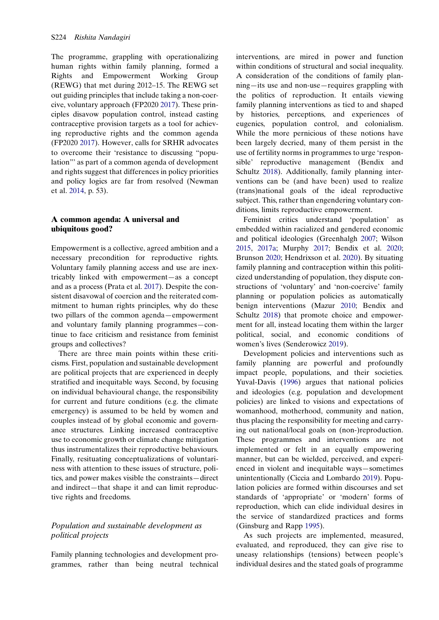The programme, grappling with operationalizing human rights within family planning, formed a Rights and Empowerment Working Group (REWG) that met during 2012–15. The REWG set out guiding principles that include taking a non-coercive, voluntary approach (FP2020 [2017\)](#page-11-8). These principles disavow population control, instead casting contraceptive provision targets as a tool for achieving reproductive rights and the common agenda (FP2020 [2017\)](#page-11-8). However, calls for SRHR advocates to overcome their 'resistance to discussing "population"' as part of a common agenda of development and rights suggest that differences in policy priorities and policy logics are far from resolved (Newman et al. [2014](#page-12-11), p. 53).

## A common agenda: A universal and ubiquitous good?

<span id="page-4-5"></span>Empowerment is a collective, agreed ambition and a necessary precondition for reproductive rights. Voluntary family planning access and use are inextricably linked with empowerment—as a concept and as a process (Prata et al. [2017](#page-13-16)). Despite the consistent disavowal of coercion and the reiterated commitment to human rights principles, why do these two pillars of the common agenda—empowerment and voluntary family planning programmes—continue to face criticism and resistance from feminist groups and collectives?

There are three main points within these criticisms. First, population and sustainable development are political projects that are experienced in deeply stratified and inequitable ways. Second, by focusing on individual behavioural change, the responsibility for current and future conditions (e.g. the climate emergency) is assumed to be held by women and couples instead of by global economic and governance structures. Linking increased contraceptive use to economic growth or climate change mitigation thus instrumentalizes their reproductive behaviours. Finally, resituating conceptualizations of voluntariness with attention to these issues of structure, politics, and power makes visible the constraints—direct and indirect—that shape it and can limit reproductive rights and freedoms.

## Population and sustainable development as political projects

Family planning technologies and development programmes, rather than being neutral technical interventions, are mired in power and function within conditions of structural and social inequality. A consideration of the conditions of family planning—its use and non-use—requires grappling with the politics of reproduction. It entails viewing family planning interventions as tied to and shaped by histories, perceptions, and experiences of eugenics, population control, and colonialism. While the more pernicious of these notions have been largely decried, many of them persist in the use of fertility norms in programmes to urge 'responsible' reproductive management (Bendix and Schultz [2018\)](#page-10-15). Additionally, family planning interventions can be (and have been) used to realize (trans)national goals of the ideal reproductive subject. This, rather than engendering voluntary conditions, limits reproductive empowerment.

<span id="page-4-7"></span><span id="page-4-4"></span>Feminist critics understand 'population' as embedded within racialized and gendered economic and political ideologies (Greenhalgh [2007;](#page-11-5) Wilson [2015](#page-14-6), [2017a;](#page-14-7) Murphy [2017](#page-12-13); Bendix et al. [2020;](#page-10-4) Brunson [2020;](#page-10-5) Hendrixson et al. [2020](#page-12-2)). By situating family planning and contraception within this politicized understanding of population, they dispute constructions of 'voluntary' and 'non-coercive' family planning or population policies as automatically benign interventions (Mazur [2010](#page-12-14); Bendix and Schultz [2018\)](#page-10-15) that promote choice and empowerment for all, instead locating them within the larger political, social, and economic conditions of women's lives (Senderowicz [2019\)](#page-13-17).

<span id="page-4-8"></span><span id="page-4-6"></span><span id="page-4-3"></span><span id="page-4-0"></span>Development policies and interventions such as family planning are powerful and profoundly impact people, populations, and their societies. Yuval-Davis [\(1996](#page-14-8)) argues that national policies and ideologies (e.g. population and development policies) are linked to visions and expectations of womanhood, motherhood, community and nation, thus placing the responsibility for meeting and carrying out national/local goals on (non-)reproduction. These programmes and interventions are not implemented or felt in an equally empowering manner, but can be wielded, perceived, and experienced in violent and inequitable ways—sometimes unintentionally (Ciccia and Lombardo [2019\)](#page-10-16). Population policies are formed within discourses and set standards of 'appropriate' or 'modern' forms of reproduction, which can elide individual desires in the service of standardized practices and forms (Ginsburg and Rapp [1995\)](#page-11-10).

<span id="page-4-2"></span><span id="page-4-1"></span>As such projects are implemented, measured, evaluated, and reproduced, they can give rise to uneasy relationships (tensions) between people's individual desires and the stated goals of programme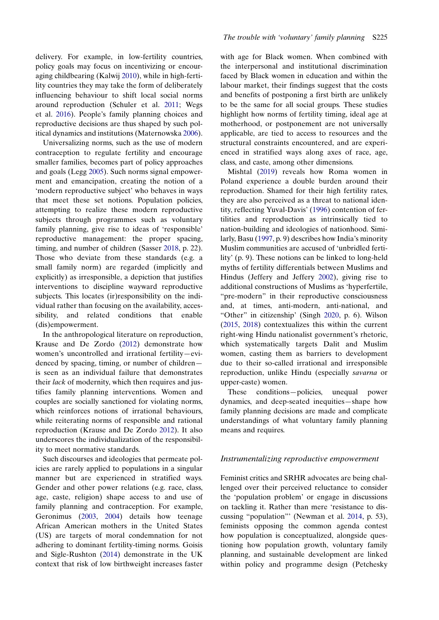<span id="page-5-11"></span><span id="page-5-4"></span>delivery. For example, in low-fertility countries, policy goals may focus on incentivizing or encouraging childbearing (Kalwij [2010](#page-12-15)), while in high-fertility countries they may take the form of deliberately influencing behaviour to shift local social norms around reproduction (Schuler et al. [2011;](#page-13-18) Wegs et al. [2016](#page-14-9)). People's family planning choices and reproductive decisions are thus shaped by such political dynamics and institutions (Maternowska [2006\)](#page-12-16).

<span id="page-5-13"></span><span id="page-5-7"></span><span id="page-5-6"></span>Universalizing norms, such as the use of modern contraception to regulate fertility and encourage smaller families, becomes part of policy approaches and goals (Legg [2005\)](#page-12-17). Such norms signal empowerment and emancipation, creating the notion of a 'modern reproductive subject' who behaves in ways that meet these set notions. Population policies, attempting to realize these modern reproductive subjects through programmes such as voluntary family planning, give rise to ideas of 'responsible' reproductive management: the proper spacing, timing, and number of children (Sasser [2018](#page-13-19), p. 22). Those who deviate from these standards (e.g. a small family norm) are regarded (implicitly and explicitly) as irresponsible, a depiction that justifies interventions to discipline wayward reproductive subjects. This locates (ir)responsibility on the individual rather than focusing on the availability, accessibility, and related conditions that enable (dis)empowerment.

<span id="page-5-10"></span>In the anthropological literature on reproduction, Krause and De Zordo ([2012\)](#page-12-18) demonstrate how women's uncontrolled and irrational fertility—evidenced by spacing, timing, or number of children is seen as an individual failure that demonstrates their lack of modernity, which then requires and justifies family planning interventions. Women and couples are socially sanctioned for violating norms, which reinforces notions of irrational behaviours, while reiterating norms of responsible and rational reproduction (Krause and De Zordo [2012](#page-12-18)). It also underscores the individualization of the responsibility to meet normative standards.

<span id="page-5-5"></span><span id="page-5-2"></span><span id="page-5-1"></span>Such discourses and ideologies that permeate policies are rarely applied to populations in a singular manner but are experienced in stratified ways. Gender and other power relations (e.g. race, class, age, caste, religion) shape access to and use of family planning and contraception. For example, Geronimus [\(2003](#page-11-11), [2004](#page-11-12)) details how teenage African American mothers in the United States (US) are targets of moral condemnation for not adhering to dominant fertility-timing norms. Goisis and Sigle-Rushton [\(2014](#page-11-13)) demonstrate in the UK context that risk of low birthweight increases faster

with age for Black women. When combined with the interpersonal and institutional discrimination faced by Black women in education and within the labour market, their findings suggest that the costs and benefits of postponing a first birth are unlikely to be the same for all social groups. These studies highlight how norms of fertility timing, ideal age at motherhood, or postponement are not universally applicable, are tied to access to resources and the structural constraints encountered, and are experienced in stratified ways along axes of race, age, class, and caste, among other dimensions.

<span id="page-5-8"></span><span id="page-5-3"></span><span id="page-5-0"></span>Mishtal ([2019](#page-12-19)) reveals how Roma women in Poland experience a double burden around their reproduction. Shamed for their high fertility rates, they are also perceived as a threat to national identity, reflecting Yuval-Davis' ([1996](#page-14-8)) contention of fertilities and reproduction as intrinsically tied to nation-building and ideologies of nationhood. Similarly, Basu ([1997,](#page-10-17) p. 9) describes how India's minority Muslim communities are accused of 'unbridled fertility' (p. 9). These notions can be linked to long-held myths of fertility differentials between Muslims and Hindus (Jeffery and Jeffery [2002](#page-12-20)), giving rise to additional constructions of Muslims as 'hyperfertile, "pre-modern" in their reproductive consciousness and, at times, anti-modern, anti-national, and "Other" in citizenship' (Singh [2020,](#page-13-20) p. 6). Wilson ([2015,](#page-14-6) [2018\)](#page-14-10) contextualizes this within the current right-wing Hindu nationalist government's rhetoric, which systematically targets Dalit and Muslim women, casting them as barriers to development due to their so-called irrational and irresponsible reproduction, unlike Hindu (especially savarna or upper-caste) women.

<span id="page-5-14"></span><span id="page-5-12"></span>These conditions—policies, unequal power dynamics, and deep-seated inequities—shape how family planning decisions are made and complicate understandings of what voluntary family planning means and requires.

#### Instrumentalizing reproductive empowerment

<span id="page-5-9"></span>Feminist critics and SRHR advocates are being challenged over their perceived reluctance to consider the 'population problem' or engage in discussions on tackling it. Rather than mere 'resistance to discussing "population"' (Newman et al. [2014](#page-12-11), p. 53), feminists opposing the common agenda contest how population is conceptualized, alongside questioning how population growth, voluntary family planning, and sustainable development are linked within policy and programme design (Petchesky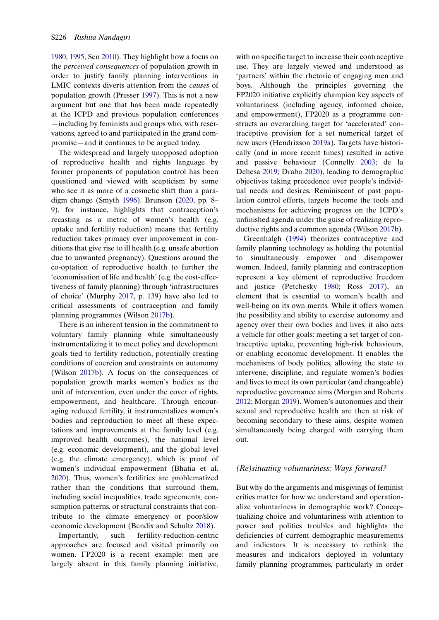[1980](#page-12-21), [1995](#page-13-21); Sen [2010\)](#page-13-13). They highlight how a focus on the perceived consequences of population growth in order to justify family planning interventions in LMIC contexts diverts attention from the causes of population growth (Presser [1997](#page-13-2)). This is not a new argument but one that has been made repeatedly at the ICPD and previous population conferences —including by feminists and groups who, with reservations, agreed to and participated in the grand compromise—and it continues to be argued today.

<span id="page-6-8"></span>The widespread and largely unopposed adoption of reproductive health and rights language by former proponents of population control has been questioned and viewed with scepticism by some who see it as more of a cosmetic shift than a paradigm change (Smyth [1996](#page-13-22)). Brunson ([2020,](#page-10-5) pp. 8– 9), for instance, highlights that contraception's recasting as a metric of women's health (e.g. uptake and fertility reduction) means that fertility reduction takes primacy over improvement in conditions that give rise to ill health (e.g. unsafe abortion due to unwanted pregnancy). Questions around the co-optation of reproductive health to further the 'economisation of life and health' (e.g. the cost-effectiveness of family planning) through 'infrastructures of choice' (Murphy [2017,](#page-12-13) p. 139) have also led to critical assessments of contraception and family planning programmes (Wilson [2017b](#page-14-1)).

There is an inherent tension in the commitment to voluntary family planning while simultaneously instrumentalizing it to meet policy and development goals tied to fertility reduction, potentially creating conditions of coercion and constraints on autonomy (Wilson [2017b](#page-14-1)). A focus on the consequences of population growth marks women's bodies as the unit of intervention, even under the cover of rights, empowerment, and healthcare. Through encouraging reduced fertility, it instrumentalizes women's bodies and reproduction to meet all these expectations and improvements at the family level (e.g. improved health outcomes), the national level (e.g. economic development), and the global level (e.g. the climate emergency), which is proof of women's individual empowerment (Bhatia et al. [2020](#page-10-18)). Thus, women's fertilities are problematized rather than the conditions that surround them, including social inequalities, trade agreements, consumption patterns, or structural constraints that contribute to the climate emergency or poor/slow economic development (Bendix and Schultz [2018\)](#page-10-15).

<span id="page-6-0"></span>Importantly, such fertility-reduction-centric approaches are focused and visited primarily on women. FP2020 is a recent example: men are largely absent in this family planning initiative, <span id="page-6-4"></span>with no specific target to increase their contraceptive use. They are largely viewed and understood as 'partners' within the rhetoric of engaging men and boys. Although the principles governing the FP2020 initiative explicitly champion key aspects of voluntariness (including agency, informed choice, and empowerment), FP2020 as a programme constructs an overarching target for 'accelerated' contraceptive provision for a set numerical target of new users (Hendrixson [2019a\)](#page-11-14). Targets have historically (and in more recent times) resulted in active and passive behaviour (Connelly [2003](#page-10-19); de la Dehesa [2019](#page-10-20); Drabo [2020\)](#page-10-21), leading to demographic objectives taking precedence over people's individual needs and desires. Reminiscent of past population control efforts, targets become the tools and mechanisms for achieving progress on the ICPD's unfinished agenda under the guise of realizing reproductive rights and a common agenda (Wilson [2017b\)](#page-14-1).

<span id="page-6-7"></span><span id="page-6-3"></span><span id="page-6-2"></span><span id="page-6-1"></span>Greenhalgh ([1994\)](#page-11-15) theorizes contraceptive and family planning technology as holding the potential to simultaneously empower and disempower women. Indeed, family planning and contraception represent a key element of reproductive freedom and justice (Petchesky [1980](#page-12-21); Ross [2017](#page-13-23)), an element that is essential to women's health and well-being on its own merits. While it offers women the possibility and ability to exercise autonomy and agency over their own bodies and lives, it also acts a vehicle for other goals: meeting a set target of contraceptive uptake, preventing high-risk behaviours, or enabling economic development. It enables the mechanisms of body politics, allowing the state to intervene, discipline, and regulate women's bodies and lives to meet its own particular (and changeable) reproductive governance aims (Morgan and Roberts [2012](#page-12-22); Morgan [2019\)](#page-12-23). Women's autonomies and their sexual and reproductive health are then at risk of becoming secondary to these aims, despite women simultaneously being charged with carrying them out.

### <span id="page-6-6"></span><span id="page-6-5"></span>(Re)situating voluntariness: Ways forward?

But why do the arguments and misgivings of feminist critics matter for how we understand and operationalize voluntariness in demographic work? Conceptualizing choice and voluntariness with attention to power and politics troubles and highlights the deficiencies of current demographic measurements and indicators. It is necessary to rethink the measures and indicators deployed in voluntary family planning programmes, particularly in order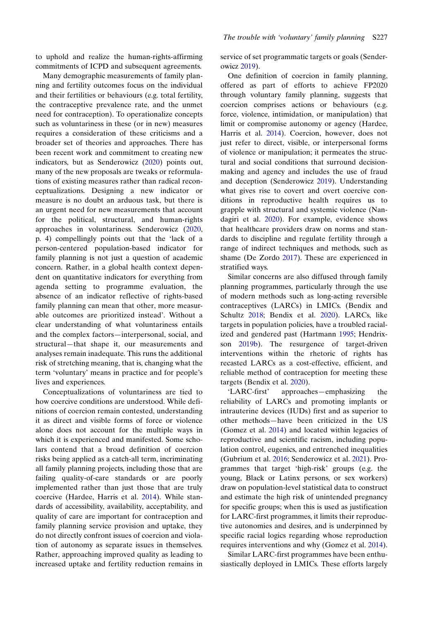to uphold and realize the human-rights-affirming commitments of ICPD and subsequent agreements.

Many demographic measurements of family planning and fertility outcomes focus on the individual and their fertilities or behaviours (e.g. total fertility, the contraceptive prevalence rate, and the unmet need for contraception). To operationalize concepts such as voluntariness in these (or in new) measures requires a consideration of these criticisms and a broader set of theories and approaches. There has been recent work and commitment to creating new indicators, but as Senderowicz ([2020\)](#page-13-4) points out, many of the new proposals are tweaks or reformulations of existing measures rather than radical reconceptualizations. Designing a new indicator or measure is no doubt an arduous task, but there is an urgent need for new measurements that account for the political, structural, and human-rights approaches in voluntariness. Senderowicz [\(2020](#page-13-4), p. 4) compellingly points out that the 'lack of a person-centered population-based indicator for family planning is not just a question of academic concern. Rather, in a global health context dependent on quantitative indicators for everything from agenda setting to programme evaluation, the absence of an indicator reflective of rights-based family planning can mean that other, more measurable outcomes are prioritized instead'. Without a clear understanding of what voluntariness entails and the complex factors—interpersonal, social, and structural—that shape it, our measurements and analyses remain inadequate. This runs the additional risk of stretching meaning, that is, changing what the term 'voluntary' means in practice and for people's lives and experiences.

Conceptualizations of voluntariness are tied to how coercive conditions are understood. While definitions of coercion remain contested, understanding it as direct and visible forms of force or violence alone does not account for the multiple ways in which it is experienced and manifested. Some scholars contend that a broad definition of coercion risks being applied as a catch-all term, incriminating all family planning projects, including those that are failing quality-of-care standards or are poorly implemented rather than just those that are truly coercive (Hardee, Harris et al. [2014](#page-11-16)). While standards of accessibility, availability, acceptability, and quality of care are important for contraception and family planning service provision and uptake, they do not directly confront issues of coercion and violation of autonomy as separate issues in themselves. Rather, approaching improved quality as leading to increased uptake and fertility reduction remains in service of set programmatic targets or goals (Senderowicz [2019\)](#page-13-17).

<span id="page-7-2"></span>One definition of coercion in family planning, offered as part of efforts to achieve FP2020 through voluntary family planning, suggests that coercion comprises actions or behaviours (e.g. force, violence, intimidation, or manipulation) that limit or compromise autonomy or agency (Hardee, Harris et al. [2014](#page-11-16)). Coercion, however, does not just refer to direct, visible, or interpersonal forms of violence or manipulation; it permeates the structural and social conditions that surround decisionmaking and agency and includes the use of fraud and deception (Senderowicz [2019](#page-13-17)). Understanding what gives rise to covert and overt coercive conditions in reproductive health requires us to grapple with structural and systemic violence (Nandagiri et al. [2020](#page-12-24)). For example, evidence shows that healthcare providers draw on norms and standards to discipline and regulate fertility through a range of indirect techniques and methods, such as shame (De Zordo [2017](#page-10-22)). These are experienced in stratified ways.

<span id="page-7-5"></span><span id="page-7-3"></span><span id="page-7-0"></span>Similar concerns are also diffused through family planning programmes, particularly through the use of modern methods such as long-acting reversible contraceptives (LARCs) in LMICs. (Bendix and Schultz [2018](#page-10-15); Bendix et al. [2020\)](#page-10-4). LARCs, like targets in population policies, have a troubled racialized and gendered past (Hartmann [1995;](#page-11-17) Hendrixson [2019b\)](#page-12-25). The resurgence of target-driven interventions within the rhetoric of rights has recasted LARCs as a cost-effective, efficient, and reliable method of contraception for meeting these targets (Bendix et al. [2020](#page-10-4)).

<span id="page-7-4"></span><span id="page-7-1"></span>'LARC-first' approaches—emphasizing the reliability of LARCs and promoting implants or intrauterine devices (IUDs) first and as superior to other methods—have been criticized in the US (Gomez et al. [2014\)](#page-11-6) and located within legacies of reproductive and scientific racism, including population control, eugenics, and entrenched inequalities (Gubrium et al. [2016](#page-11-18); Senderowicz et al. [2021\)](#page-13-10). Programmes that target 'high-risk' groups (e.g. the young, Black or Latinx persons, or sex workers) draw on population-level statistical data to construct and estimate the high risk of unintended pregnancy for specific groups; when this is used as justification for LARC-first programmes, it limits their reproductive autonomies and desires, and is underpinned by specific racial logics regarding whose reproduction requires interventions and why (Gomez et al. [2014](#page-11-6)).

Similar LARC-first programmes have been enthusiastically deployed in LMICs. These efforts largely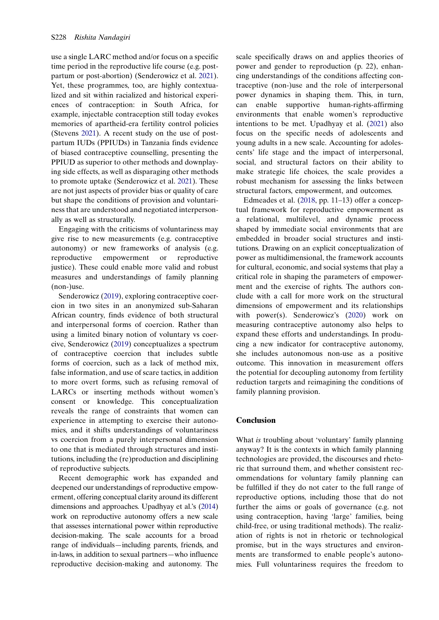<span id="page-8-1"></span>use a single LARC method and/or focus on a specific time period in the reproductive life course (e.g. postpartum or post-abortion) (Senderowicz et al. [2021\)](#page-13-10). Yet, these programmes, too, are highly contextualized and sit within racialized and historical experiences of contraception: in South Africa, for example, injectable contraception still today evokes memories of apartheid-era fertility control policies (Stevens [2021](#page-13-24)). A recent study on the use of postpartum IUDs (PPIUDs) in Tanzania finds evidence of biased contraceptive counselling, presenting the PPIUD as superior to other methods and downplaying side effects, as well as disparaging other methods to promote uptake (Senderowicz et al. [2021](#page-13-10)). These are not just aspects of provider bias or quality of care but shape the conditions of provision and voluntariness that are understood and negotiated interpersonally as well as structurally.

Engaging with the criticisms of voluntariness may give rise to new measurements (e.g. contraceptive autonomy) or new frameworks of analysis (e.g. reproductive empowerment or reproductive justice). These could enable more valid and robust measures and understandings of family planning (non-)use.

Senderowicz ([2019\)](#page-13-17), exploring contraceptive coercion in two sites in an anonymized sub-Saharan African country, finds evidence of both structural and interpersonal forms of coercion. Rather than using a limited binary notion of voluntary vs coercive, Senderowicz [\(2019](#page-13-17)) conceptualizes a spectrum of contraceptive coercion that includes subtle forms of coercion, such as a lack of method mix, false information, and use of scare tactics, in addition to more overt forms, such as refusing removal of LARCs or inserting methods without women's consent or knowledge. This conceptualization reveals the range of constraints that women can experience in attempting to exercise their autonomies, and it shifts understandings of voluntariness vs coercion from a purely interpersonal dimension to one that is mediated through structures and institutions, including the (re)production and disciplining of reproductive subjects.

Recent demographic work has expanded and deepened our understandings of reproductive empowerment, offering conceptual clarity around its different dimensions and approaches. Upadhyay et al.'s [\(2014](#page-14-0)) work on reproductive autonomy offers a new scale that assesses international power within reproductive decision-making. The scale accounts for a broad range of individuals—including parents, friends, and in-laws, in addition to sexual partners—who influence reproductive decision-making and autonomy. The <span id="page-8-2"></span>scale specifically draws on and applies theories of power and gender to reproduction (p. 22), enhancing understandings of the conditions affecting contraceptive (non-)use and the role of interpersonal power dynamics in shaping them. This, in turn, can enable supportive human-rights-affirming environments that enable women's reproductive intentions to be met. Upadhyay et al. [\(2021](#page-14-11)) also focus on the specific needs of adolescents and young adults in a new scale. Accounting for adolescents' life stage and the impact of interpersonal, social, and structural factors on their ability to make strategic life choices, the scale provides a robust mechanism for assessing the links between structural factors, empowerment, and outcomes.

<span id="page-8-0"></span>Edmeades et al. [\(2018](#page-11-19), pp. 11–13) offer a conceptual framework for reproductive empowerment as a relational, multilevel, and dynamic process shaped by immediate social environments that are embedded in broader social structures and institutions. Drawing on an explicit conceptualization of power as multidimensional, the framework accounts for cultural, economic, and social systems that play a critical role in shaping the parameters of empowerment and the exercise of rights. The authors conclude with a call for more work on the structural dimensions of empowerment and its relationships with power(s). Senderowicz's [\(2020](#page-13-4)) work on measuring contraceptive autonomy also helps to expand these efforts and understandings. In producing a new indicator for contraceptive autonomy, she includes autonomous non-use as a positive outcome. This innovation in measurement offers the potential for decoupling autonomy from fertility reduction targets and reimagining the conditions of family planning provision.

### Conclusion

What is troubling about 'voluntary' family planning anyway? It is the contexts in which family planning technologies are provided, the discourses and rhetoric that surround them, and whether consistent recommendations for voluntary family planning can be fulfilled if they do not cater to the full range of reproductive options, including those that do not further the aims or goals of governance (e.g. not using contraception, having 'large' families, being child-free, or using traditional methods). The realization of rights is not in rhetoric or technological promise, but in the ways structures and environments are transformed to enable people's autonomies. Full voluntariness requires the freedom to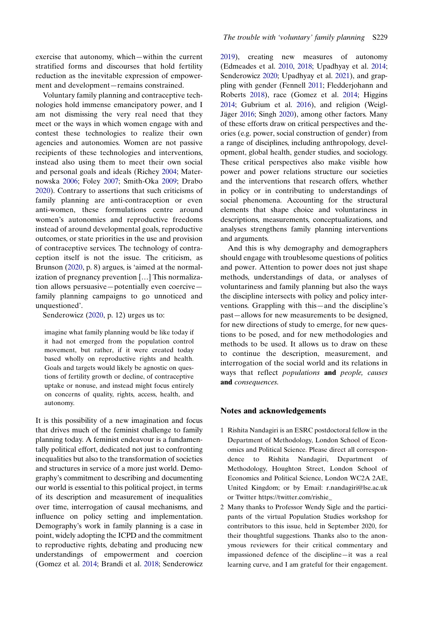exercise that autonomy, which—within the current stratified forms and discourses that hold fertility reduction as the inevitable expression of empowerment and development—remains constrained.

<span id="page-9-4"></span><span id="page-9-3"></span>Voluntary family planning and contraceptive technologies hold immense emancipatory power, and I am not dismissing the very real need that they meet or the ways in which women engage with and contest these technologies to realize their own agencies and autonomies. Women are not passive recipients of these technologies and interventions, instead also using them to meet their own social and personal goals and ideals (Richey [2004;](#page-13-25) Maternowska [2006](#page-12-16); Foley [2007;](#page-11-20) Smith-Oka [2009;](#page-13-26) Drabo [2020](#page-10-21)). Contrary to assertions that such criticisms of family planning are anti-contraception or even anti-women, these formulations centre around women's autonomies and reproductive freedoms instead of around developmental goals, reproductive outcomes, or state priorities in the use and provision of contraceptive services. The technology of contraception itself is not the issue. The criticism, as Brunson ([2020,](#page-10-5) p. 8) argues, is 'aimed at the normalization of pregnancy prevention […] This normalization allows persuasive—potentially even coercive family planning campaigns to go unnoticed and unquestioned'.

Senderowicz [\(2020](#page-13-4), p. 12) urges us to:

imagine what family planning would be like today if it had not emerged from the population control movement, but rather, if it were created today based wholly on reproductive rights and health. Goals and targets would likely be agnostic on questions of fertility growth or decline, of contraceptive uptake or nonuse, and instead might focus entirely on concerns of quality, rights, access, health, and autonomy.

It is this possibility of a new imagination and focus that drives much of the feminist challenge to family planning today. A feminist endeavour is a fundamentally political effort, dedicated not just to confronting inequalities but also to the transformation of societies and structures in service of a more just world. Demography's commitment to describing and documenting our world is essential to this political project, in terms of its description and measurement of inequalities over time, interrogation of causal mechanisms, and influence on policy setting and implementation. Demography's work in family planning is a case in point, widely adopting the ICPD and the commitment to reproductive rights, debating and producing new understandings of empowerment and coercion (Gomez et al. [2014](#page-11-6); Brandi et al. [2018](#page-10-7); Senderowicz <span id="page-9-5"></span><span id="page-9-2"></span><span id="page-9-1"></span><span id="page-9-0"></span>[2019\)](#page-13-17), creating new measures of autonomy (Edmeades et al. [2010](#page-11-21), [2018](#page-11-19); Upadhyay et al. [2014](#page-14-0); Senderowicz [2020](#page-13-4); Upadhyay et al. [2021](#page-14-11)), and grappling with gender (Fennell [2011;](#page-11-22) Fledderjohann and Roberts [2018\)](#page-11-23), race (Gomez et al. [2014;](#page-11-6) Higgins [2014;](#page-12-26) Gubrium et al. [2016\)](#page-11-18), and religion (Weigl-Jäger [2016](#page-14-12); Singh [2020](#page-13-20)), among other factors. Many of these efforts draw on critical perspectives and theories (e.g. power, social construction of gender) from a range of disciplines, including anthropology, development, global health, gender studies, and sociology. These critical perspectives also make visible how power and power relations structure our societies and the interventions that research offers, whether in policy or in contributing to understandings of social phenomena. Accounting for the structural elements that shape choice and voluntariness in descriptions, measurements, conceptualizations, and analyses strengthens family planning interventions and arguments.

And this is why demography and demographers should engage with troublesome questions of politics and power. Attention to power does not just shape methods, understandings of data, or analyses of voluntariness and family planning but also the ways the discipline intersects with policy and policy interventions. Grappling with this—and the discipline's past—allows for new measurements to be designed, for new directions of study to emerge, for new questions to be posed, and for new methodologies and methods to be used. It allows us to draw on these to continue the description, measurement, and interrogation of the social world and its relations in ways that reflect populations and people, causes and consequences.

#### Notes and acknowledgements

- 1 Rishita Nandagiri is an ESRC postdoctoral fellow in the Department of Methodology, London School of Economics and Political Science. Please direct all correspondence to Rishita Nandagiri, Department of Methodology, Houghton Street, London School of Economics and Political Science, London WC2A 2AE, United Kingdom; or by Email: [r.nandagiri@lse.ac.uk](mailto:r.nandagiri@lse.ac.uk) or Twitter https://twitter.com/rishie\_
- 2 Many thanks to Professor Wendy Sigle and the participants of the virtual Population Studies workshop for contributors to this issue, held in September 2020, for their thoughtful suggestions. Thanks also to the anonymous reviewers for their critical commentary and impassioned defence of the discipline—it was a real learning curve, and I am grateful for their engagement.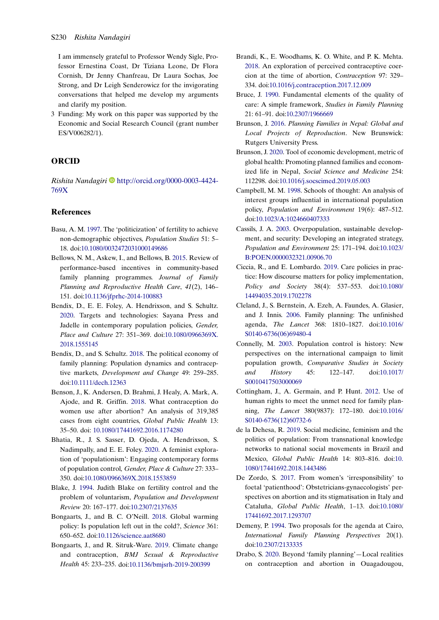I am immensely grateful to Professor Wendy Sigle, Professor Ernestina Coast, Dr Tiziana Leone, Dr Flora Cornish, Dr Jenny Chanfreau, Dr Laura Sochas, Joe Strong, and Dr Leigh Senderowicz for the invigorating conversations that helped me develop my arguments and clarify my position.

3 Funding: My work on this paper was supported by the Economic and Social Research Council (grant number ES/V006282/1).

## ORCID

Rishita Nandagiri D[http://orcid.org/0000-0003-4424-](http://orcid.org/0000-0003-4424-769X) [769X](http://orcid.org/0000-0003-4424-769X)

#### References

- <span id="page-10-17"></span>Basu, A. M. [1997.](#page-5-0) The 'politicization' of fertility to achieve non-demographic objectives, Population Studies 51: 5– 18. doi[:10.1080/0032472031000149686](https://doi.org/10.1080/0032472031000149686)
- <span id="page-10-0"></span>Bellows, N. M., Askew, I., and Bellows, B. [2015.](#page-2-0) Review of performance-based incentives in community-based family planning programmes. Journal of Family Planning and Reproductive Health Care, 41(2), 146– 151. doi:[10.1136/jfprhc-2014-100883](https://doi.org/10.1136/jfprhc-2014-100883)
- <span id="page-10-4"></span>Bendix, D., E. E. Foley, A. Hendrixson, and S. Schultz. [2020](#page-2-1). Targets and technologies: Sayana Press and Jadelle in contemporary population policies, Gender, Place and Culture 27: 351–369. doi:[10.1080/0966369X.](https://doi.org/10.1080/0966369X.2018.1555145) [2018.1555145](https://doi.org/10.1080/0966369X.2018.1555145)
- <span id="page-10-15"></span>Bendix, D., and S. Schultz. [2018.](#page-4-0) The political economy of family planning: Population dynamics and contraceptive markets, Development and Change 49: 259–285. doi[:10.1111/dech.12363](https://doi.org/10.1111/dech.12363)
- <span id="page-10-9"></span>Benson, J., K. Andersen, D. Brahmi, J. Healy, A. Mark, A. Ajode, and R. Griffin. [2018.](#page-2-2) What contraception do women use after abortion? An analysis of 319,385 cases from eight countries, Global Public Health 13: 35–50. doi: [10.1080/17441692.2016.1174280](https://doi.org/ 10.1080/17441692.2016.1174280)
- <span id="page-10-18"></span>Bhatia, R., J. S. Sasser, D. Ojeda, A. Hendrixson, S. Nadimpally, and E. E. Foley. [2020.](#page-6-0) A feminist exploration of 'populationism': Engaging contemporary forms of population control, Gender, Place & Culture 27: 333– 350. doi:[10.1080/0966369X.2018.1553859](https://doi.org/10.1080/0966369X.2018.1553859)
- <span id="page-10-6"></span>Blake, J. [1994.](#page-2-3) Judith Blake on fertility control and the problem of voluntarism, Population and Development Review 20: 167–177. doi[:10.2307/2137635](https://doi.org/10.2307/2137635)
- <span id="page-10-11"></span>Bongaarts, J., and B. C. O'Neill. [2018.](#page-2-4) Global warming policy: Is population left out in the cold?, Science 361: 650–652. doi:[10.1126/science.aat8680](https://doi.org/10.1126/science.aat8680)
- <span id="page-10-12"></span>Bongaarts, J., and R. Sitruk-Ware. [2019](#page-2-5). Climate change and contraception, BMJ Sexual & Reproductive Health 45: 233–235. doi[:10.1136/bmjsrh-2019-200399](https://doi.org/10.1136/bmjsrh-2019-200399)
- <span id="page-10-7"></span>Brandi, K., E. Woodhams, K. O. White, and P. K. Mehta. [2018](#page-2-6). An exploration of perceived contraceptive coercion at the time of abortion, Contraception 97: 329– 334. doi[:10.1016/j.contraception.2017.12.009](https://doi.org/10.1016/j.contraception.2017.12.009)
- <span id="page-10-8"></span>Bruce, J. [1990.](#page-2-7) Fundamental elements of the quality of care: A simple framework, Studies in Family Planning 21: 61–91. doi[:10.2307/1966669](https://doi.org/10.2307/1966669)
- <span id="page-10-3"></span>Brunson, J. [2016.](#page-2-8) Planning Families in Nepal: Global and Local Projects of Reproduction. New Brunswick: Rutgers University Press.
- <span id="page-10-5"></span>Brunson, J. [2020.](#page-2-9) Tool of economic development, metric of global health: Promoting planned families and economized life in Nepal, Social Science and Medicine 254: 112298. doi:[10.1016/j.socscimed.2019.05.003](https://doi.org/10.1016/j.socscimed.2019.05.003)
- <span id="page-10-13"></span>Campbell, M. M. [1998.](#page-3-0) Schools of thought: An analysis of interest groups influential in international population policy, Population and Environment 19(6): 487–512. doi[:10.1023/A:1024660407333](https://doi.org/10.1023/A:1024660407333)
- <span id="page-10-14"></span>Cassils, J. A. [2003](#page-3-1). Overpopulation, sustainable development, and security: Developing an integrated strategy, Population and Environment 25: 171–194. doi[:10.1023/](https://doi.org/10.1023/B:POEN.0000032321.00906.70) [B:POEN.0000032321.00906.70](https://doi.org/10.1023/B:POEN.0000032321.00906.70)
- <span id="page-10-16"></span>Ciccia, R., and E. Lombardo. [2019](#page-4-1). Care policies in practice: How discourse matters for policy implementation, Policy and Society 38(4): 537–553. doi[:10.1080/](https://doi.org/10.1080/14494035.2019.1702278) [14494035.2019.1702278](https://doi.org/10.1080/14494035.2019.1702278)
- <span id="page-10-2"></span>Cleland, J., S. Bernstein, A. Ezeh, A. Faundes, A. Glasier, and J. Innis. [2006](#page-2-10). Family planning: The unfinished agenda, The Lancet 368: 1810–1827. doi[:10.1016/](https://doi.org/10.1016/S0140-6736(06)69480-4) [S0140-6736\(06\)69480-4](https://doi.org/10.1016/S0140-6736(06)69480-4)
- <span id="page-10-19"></span>Connelly, M. [2003](#page-6-1). Population control is history: New perspectives on the international campaign to limit population growth, Comparative Studies in Society and History 45: 122–147. doi[:10.1017/](https://doi.org/10.1017/S0010417503000069) [S0010417503000069](https://doi.org/10.1017/S0010417503000069)
- <span id="page-10-10"></span>Cottingham, J., A. Germain, and P. Hunt. [2012](#page-2-11). Use of human rights to meet the unmet need for family planning, The Lancet 380(9837): 172–180. doi[:10.1016/](https://doi.org/10.1016/S0140-6736(12)60732-6) [S0140-6736\(12\)60732-6](https://doi.org/10.1016/S0140-6736(12)60732-6)
- <span id="page-10-20"></span>de la Dehesa, R. [2019.](#page-6-2) Social medicine, feminism and the politics of population: From transnational knowledge networks to national social movements in Brazil and Mexico, Global Public Health 14: 803–816. doi:[10.](https://doi.org/10.1080/17441692.2018.1443486) [1080/17441692.2018.1443486](https://doi.org/10.1080/17441692.2018.1443486)
- <span id="page-10-22"></span>De Zordo, S. [2017](#page-7-0). From women's 'irresponsibility' to foetal 'patienthood': Obstetricians-gynaecologists' perspectives on abortion and its stigmatisation in Italy and Cataluña, Global Public Health, 1–13. doi[:10.1080/](https://doi.org/10.1080/17441692.2017.1293707) [17441692.2017.1293707](https://doi.org/10.1080/17441692.2017.1293707)
- <span id="page-10-1"></span>Demeny, P. [1994.](#page-2-12) Two proposals for the agenda at Cairo, International Family Planning Perspectives 20(1). doi[:10.2307/2133335](https://doi.org/10.2307/2133335)
- <span id="page-10-21"></span>Drabo, S. [2020.](#page-6-2) Beyond 'family planning'—Local realities on contraception and abortion in Ouagadougou,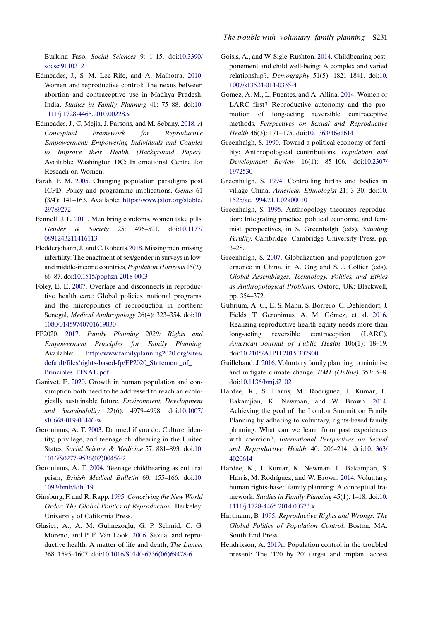Burkina Faso, Social Sciences 9: 1–15. doi[:10.3390/](https://doi.org/10.3390/socsci9110212) [socsci9110212](https://doi.org/10.3390/socsci9110212)

- <span id="page-11-21"></span>Edmeades, J., S. M. Lee-Rife, and A. Malhotra. [2010.](#page-9-0) Women and reproductive control: The nexus between abortion and contraceptive use in Madhya Pradesh, India, Studies in Family Planning 41: 75–88. doi:[10.](https://doi.org/10.1111/j.1728-4465.2010.00228.x) [1111/j.1728-4465.2010.00228.x](https://doi.org/10.1111/j.1728-4465.2010.00228.x)
- <span id="page-11-19"></span>Edmeades, J., C. Mejia, J. Parsons, and M. Sebany. [2018](#page-8-0). A Conceptual Framework for Reproductive Empowerment: Empowering Individuals and Couples to Improve their Health (Background Paper). Available: Washington DC: International Centre for Reseach on Women.
- <span id="page-11-2"></span>Farah, F. M. [2005](#page-2-13). Changing population paradigms post ICPD: Policy and programme implications, Genus 61 (3/4): 141–163. Available: [https://www.jstor.org/stable/](https://www.jstor.org/stable/29789272) [29789272](https://www.jstor.org/stable/29789272)
- <span id="page-11-22"></span>Fennell, J. L. [2011](#page-9-1). Men bring condoms, women take pills, Gender & Society 25: 496–521. doi[:10.1177/](https://doi.org/10.1177/0891243211416113) [0891243211416113](https://doi.org/10.1177/0891243211416113)
- <span id="page-11-23"></span>Fledderjohann, J., and C. Roberts. [2018.](#page-9-2)Missing men, missing infertility: The enactment of sex/gender in surveys in lowand middle-income countries, Population Horizons 15(2): 66–87. doi:[10.1515/pophzn-2018-0003](https://doi.org/10.1515/pophzn-2018-0003)
- <span id="page-11-20"></span>Foley, E. E. [2007](#page-9-3). Overlaps and disconnects in reproductive health care: Global policies, national programs, and the micropolitics of reproduction in northern Senegal, Medical Anthropology 26(4): 323–354. doi:[10.](https://doi.org/10.1080/01459740701619830) [1080/01459740701619830](https://doi.org/10.1080/01459740701619830)
- <span id="page-11-8"></span>FP2020. [2017.](#page-3-2) Family Planning 2020: Rights and Empowerment Principles for Family Planning. Available: [http://www.familyplanning2020.org/sites/](http://www.familyplanning2020.org/sites/default/files/rights-based-fp/FP2020_Statement_of_Principles_FINAL.pdf) [default/files/rights-based-fp/FP2020\\_Statement\\_of\\_](http://www.familyplanning2020.org/sites/default/files/rights-based-fp/FP2020_Statement_of_Principles_FINAL.pdf) [Principles\\_FINAL.pdf](http://www.familyplanning2020.org/sites/default/files/rights-based-fp/FP2020_Statement_of_Principles_FINAL.pdf)
- <span id="page-11-9"></span>Ganivet, E. [2020.](#page-3-3) Growth in human population and consumption both need to be addressed to reach an ecologically sustainable future, Environment, Development and Sustainability 22(6): 4979–4998. doi[:10.1007/](https://doi.org/10.1007/s10668-019-00446-w) [s10668-019-00446-w](https://doi.org/10.1007/s10668-019-00446-w)
- <span id="page-11-11"></span>Geronimus, A. T. [2003.](#page-5-1) Damned if you do: Culture, identity, privilege, and teenage childbearing in the United States, Social Science & Medicine 57: 881–893. doi:[10.](https://doi.org/10.1016/S0277-9536(02)00456-2) [1016/S0277-9536\(02\)00456-2](https://doi.org/10.1016/S0277-9536(02)00456-2)
- <span id="page-11-12"></span>Geronimus, A. T. [2004.](#page-5-1) Teenage childbearing as cultural prism, British Medical Bulletin 69: 155–166. doi:[10.](https://doi.org/10.1093/bmb/ldh019) [1093/bmb/ldh019](https://doi.org/10.1093/bmb/ldh019)
- <span id="page-11-10"></span>Ginsburg, F. and R. Rapp. [1995](#page-4-2). Conceiving the New World Order: The Global Politics of Reproduction. Berkeley: University of California Press.
- <span id="page-11-3"></span>Glasier, A., A. M. Gülmezoglu, G. P. Schmid, C. G. Moreno, and P. F. Van Look. [2006.](#page-2-14) Sexual and reproductive health: A matter of life and death, The Lancet 368: 1595–1607. doi:[10.1016/S0140-6736\(06\)69478-6](https://doi.org/10.1016/S0140-6736(06)69478-6)
- <span id="page-11-13"></span>Goisis, A., and W. Sigle-Rushton. [2014.](#page-5-2) Childbearing postponement and child well-being: A complex and varied relationship?, Demography 51(5): 1821–1841. doi:[10.](https://doi.org/10.1007/s13524-014-0335-4) [1007/s13524-014-0335-4](https://doi.org/10.1007/s13524-014-0335-4)
- <span id="page-11-6"></span>Gomez, A. M., L. Fuentes, and A. Allina. [2014](#page-2-15). Women or LARC first? Reproductive autonomy and the promotion of long-acting reversible contraceptive methods, Perspectives on Sexual and Reproductive Health 46(3): 171–175. doi[:10.1363/46e1614](https://doi.org/10.1363/46e1614)
- <span id="page-11-0"></span>Greenhalgh, S. [1990](#page-1-0). Toward a political economy of fertility: Anthropological contributions, Population and Development Review 16(1): 85–106. doi[:10.2307/](https://doi.org/10.2307/1972530) [1972530](https://doi.org/10.2307/1972530)
- <span id="page-11-15"></span>Greenhalgh, S. [1994.](#page-6-3) Controlling births and bodies in village China, American Ethnologist 21: 3–30. doi:[10.](https://doi.org/10.1525/ae.1994.21.1.02a00010) [1525/ae.1994.21.1.02a00010](https://doi.org/10.1525/ae.1994.21.1.02a00010)
- <span id="page-11-1"></span>Greenhalgh, S. [1995](#page-1-0). Anthropology theorizes reproduction: Integrating practice, political economic, and feminist perspectives, in S. Greenhalgh (eds), Situating Fertility. Cambridge: Cambridge University Press, pp. 3–28.
- <span id="page-11-5"></span>Greenhalgh, S. [2007](#page-2-16). Globalization and population governance in China, in A. Ong and S. J. Collier (eds), Global Assemblages: Technology, Politics, and Ethics as Anthropological Problems. Oxford, UK: Blackwell, pp. 354–372.
- <span id="page-11-18"></span>Gubrium, A. C., E. S. Mann, S. Borrero, C. Dehlendorf, J. Fields, T. Geronimus, A. M. Gómez, et al. [2016.](#page-7-1) Realizing reproductive health equity needs more than long-acting reversible contraception (LARC), American Journal of Public Health 106(1): 18–19. doi:[10.2105/AJPH.2015.302900](https://doi.org/10.2105/AJPH.2015.302900)
- <span id="page-11-4"></span>Guillebaud, J. [2016.](#page-2-14) Voluntary family planning to minimise and mitigate climate change, BMJ (Online) 353: 5–8. doi:[10.1136/bmj.i2102](https://doi.org/10.1136/bmj.i2102)
- <span id="page-11-16"></span>Hardee, K., S. Harris, M. Rodriguez, J. Kumar, L. Bakamjian, K. Newman, and W. Brown. [2014.](#page-7-2) Achieving the goal of the London Summit on Family Planning by adhering to voluntary, rights-based family planning: What can we learn from past experiences with coercion?, International Perspectives on Sexual and Reproductive Health 40: 206–214. doi[:10.1363/](https://doi.org/10.1363/4020614) [4020614](https://doi.org/10.1363/4020614)
- <span id="page-11-7"></span>Hardee, K., J. Kumar, K. Newman, L. Bakamjian, S. Harris, M. Rodríguez, and W. Brown. [2014](#page-2-17). Voluntary, human rights-based family planning: A conceptual framework, Studies in Family Planning 45(1): 1–18. doi:[10.](https://doi.org/10.1111/j.1728-4465.2014.00373.x) [1111/j.1728-4465.2014.00373.x](https://doi.org/10.1111/j.1728-4465.2014.00373.x)
- <span id="page-11-17"></span>Hartmann, B. [1995](#page-7-3). Reproductive Rights and Wrongs: The Global Politics of Population Control. Boston, MA: South End Press.
- <span id="page-11-14"></span>Hendrixson, A. [2019a](#page-6-4). Population control in the troubled present: The '120 by 20' target and implant access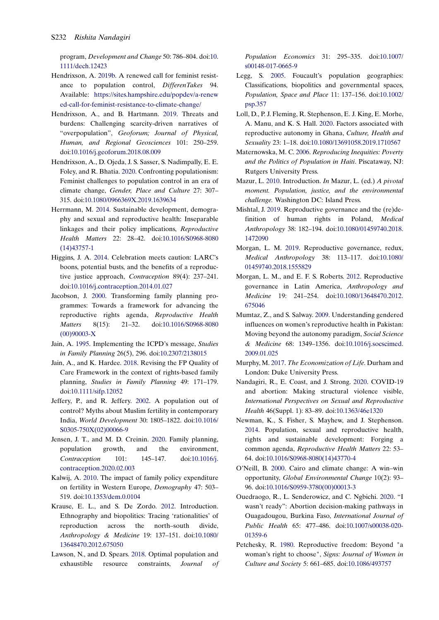program, Development and Change 50: 786–804. doi:[10.](https://doi.org/10.1111/dech.12423) [1111/dech.12423](https://doi.org/10.1111/dech.12423)

- <span id="page-12-25"></span>Hendrixson, A. [2019b.](#page-7-4) A renewed call for feminist resistance to population control, DifferenTakes 94. Available: [https://sites.hampshire.edu/popdev/a-renew](https://sites.hampshire.edu/popdev/a-renewed-call-for-feminist-resistance-to-climate-change/) [ed-call-for-feminist-resistance-to-climate-change/](https://sites.hampshire.edu/popdev/a-renewed-call-for-feminist-resistance-to-climate-change/)
- <span id="page-12-1"></span>Hendrixson, A., and B. Hartmann. [2019](#page-2-1). Threats and burdens: Challenging scarcity-driven narratives of "overpopulation", Geoforum; Journal of Physical, Human, and Regional Geosciences 101: 250–259. doi[:10.1016/j.geoforum.2018.08.009](https://doi.org/10.1016/j.geoforum.2018.08.009)
- <span id="page-12-2"></span>Hendrixson, A., D. Ojeda, J. S. Sasser, S. Nadimpally, E. E. Foley, and R. Bhatia. [2020](#page-2-9). Confronting populationism: Feminist challenges to population control in an era of climate change, Gender, Place and Culture 27: 307– 315. doi:[10.1080/0966369X.2019.1639634](https://doi.org/10.1080/0966369X.2019.1639634)
- <span id="page-12-10"></span>Herrmann, M. [2014](#page-3-3). Sustainable development, demography and sexual and reproductive health: Inseparable linkages and their policy implications, Reproductive Health Matters 22: 28–42. doi[:10.1016/S0968-8080](https://doi.org/10.1016/S0968-8080(14)43757-1) [\(14\)43757-1](https://doi.org/10.1016/S0968-8080(14)43757-1)
- <span id="page-12-26"></span>Higgins, J. A. [2014.](#page-9-2) Celebration meets caution: LARC's boons, potential busts, and the benefits of a reproductive justice approach, Contraception 89(4): 237–241. doi[:10.1016/j.contraception.2014.01.027](https://doi.org/10.1016/j.contraception.2014.01.027)
- <span id="page-12-6"></span>Jacobson, J. [2000](#page-2-17). Transforming family planning programmes: Towards a framework for advancing the reproductive rights agenda, Reproductive Health Matters 8(15): 21–32. doi[:10.1016/S0968-8080](https://doi.org/10.1016/S0968-8080(00)90003-X) [\(00\)90003-X](https://doi.org/10.1016/S0968-8080(00)90003-X)
- <span id="page-12-7"></span>Jain, A. [1995.](#page-3-4) Implementing the ICPD's message, Studies in Family Planning 26(5), 296. doi[:10.2307/2138015](https://doi.org/10.2307/2138015)
- <span id="page-12-5"></span>Jain, A., and K. Hardee. [2018.](#page-2-2) Revising the FP Quality of Care Framework in the context of rights-based family planning, Studies in Family Planning 49: 171–179. doi[:10.1111/sifp.12052](https://doi.org/10.1111/sifp.12052)
- <span id="page-12-20"></span>Jeffery, P., and R. Jeffery. [2002](#page-5-3). A population out of control? Myths about Muslim fertility in contemporary India, World Development 30: 1805–1822. doi[:10.1016/](https://doi.org/10.1016/S0305-750X(02)00066-9) [S0305-750X\(02\)00066-9](https://doi.org/10.1016/S0305-750X(02)00066-9)
- <span id="page-12-9"></span>Jensen, J. T., and M. D. Creinin. [2020.](#page-3-5) Family planning, population growth, and the environment, Contraception 101: 145–147. doi:[10.1016/j.](https://doi.org/10.1016/j.contraception.2020.02.003) [contraception.2020.02.003](https://doi.org/10.1016/j.contraception.2020.02.003)
- <span id="page-12-15"></span>Kalwij, A. [2010](#page-5-4). The impact of family policy expenditure on fertility in Western Europe, Demography 47: 503– 519. doi:[10.1353/dem.0.0104](https://doi.org/10.1353/dem.0.0104)
- <span id="page-12-18"></span>Krause, E. L., and S. De Zordo. [2012.](#page-5-5) Introduction. Ethnography and biopolitics: Tracing 'rationalities' of reproduction across the north–south divide, Anthropology & Medicine 19: 137–151. doi[:10.1080/](https://doi.org/10.1080/13648470.2012.675050) [13648470.2012.675050](https://doi.org/10.1080/13648470.2012.675050)
- <span id="page-12-12"></span>Lawson, N., and D. Spears. [2018](#page-3-6). Optimal population and exhaustible resource constraints, Journal of

Population Economics 31: 295–335. doi[:10.1007/](https://doi.org/10.1007/s00148-017-0665-9) [s00148-017-0665-9](https://doi.org/10.1007/s00148-017-0665-9)

- <span id="page-12-17"></span>Legg, S. [2005](#page-5-6). Foucault's population geographies: Classifications, biopolitics and governmental spaces, Population, Space and Place 11: 137–156. doi[:10.1002/](https://doi.org/10.1002/psp.357) [psp.357](https://doi.org/10.1002/psp.357)
- <span id="page-12-4"></span>Loll, D., P. J. Fleming, R. Stephenson, E. J. King, E. Morhe, A. Manu, and K. S. Hall. [2020](#page-2-18). Factors associated with reproductive autonomy in Ghana, Culture, Health and Sexuality 23: 1–18. doi:[10.1080/13691058.2019.1710567](https://doi.org/10.1080/13691058.2019.1710567)
- <span id="page-12-16"></span>Maternowska, M. C. [2006](#page-5-7). Reproducing Inequities: Poverty and the Politics of Population in Haiti. Piscataway, NJ: Rutgers University Press.
- <span id="page-12-14"></span>Mazur, L. [2010](#page-4-3). Introduction. In Mazur, L. (ed.) A pivotal moment. Population, justice, and the environmental challenge. Washington DC: Island Press.
- <span id="page-12-19"></span>Mishtal, J. [2019](#page-5-8). Reproductive governance and the (re)definition of human rights in Poland, Medical Anthropology 38: 182–194. doi:[10.1080/01459740.2018.](https://doi.org/10.1080/01459740.2018.1472090) [1472090](https://doi.org/10.1080/01459740.2018.1472090)
- <span id="page-12-23"></span>Morgan, L. M. [2019](#page-6-5). Reproductive governance, redux, Medical Anthropology 38: 113–117. doi[:10.1080/](https://doi.org/10.1080/01459740.2018.1555829) [01459740.2018.1555829](https://doi.org/10.1080/01459740.2018.1555829)
- <span id="page-12-22"></span>Morgan, L. M., and E. F. S. Roberts. [2012](#page-6-6). Reproductive governance in Latin America, Anthropology and Medicine 19: 241–254. doi:[10.1080/13648470.2012.](https://doi.org/10.1080/13648470.2012.675046) [675046](https://doi.org/10.1080/13648470.2012.675046)
- <span id="page-12-3"></span>Mumtaz, Z., and S. Salway. [2009](#page-2-19). Understanding gendered influences on women's reproductive health in Pakistan: Moving beyond the autonomy paradigm, Social Science & Medicine 68: 1349–1356. doi:[10.1016/j.socscimed.](https://doi.org/10.1016/j.socscimed.2009.01.025) [2009.01.025](https://doi.org/10.1016/j.socscimed.2009.01.025)
- <span id="page-12-13"></span>Murphy, M. [2017.](#page-4-4) The Economization of Life. Durham and London: Duke University Press.
- <span id="page-12-24"></span>Nandagiri, R., E. Coast, and J. Strong. [2020.](#page-7-5) COVID-19 and abortion: Making structural violence visible, International Perspectives on Sexual and Reproductive Health 46(Suppl. 1): 83–89. doi[:10.1363/46e1320](https://doi.org/10.1363/46e1320)
- <span id="page-12-11"></span>Newman, K., S. Fisher, S. Mayhew, and J. Stephenson. [2014](#page-3-7). Population, sexual and reproductive health, rights and sustainable development: Forging a common agenda, Reproductive Health Matters 22: 53– 64. doi[:10.1016/S0968-8080\(14\)43770-4](https://doi.org/10.1016/S0968-8080(14)43770-4)
- <span id="page-12-8"></span>O'Neill, B. [2000.](#page-3-8) Cairo and climate change: A win–win opportunity, Global Environmental Change 10(2): 93– 96. doi[:10.1016/S0959-3780\(00\)00013-3](https://doi.org/10.1016/S0959-3780(00)00013-3)
- <span id="page-12-0"></span>Ouedraogo, R., L. Senderowicz, and C. Ngbichi. [2020.](#page-2-20) "I wasn't ready": Abortion decision-making pathways in Ouagadougou, Burkina Faso, International Journal of Public Health 65: 477–486. doi:[10.1007/s00038-020-](https://doi.org/10.1007/s00038-020-01359-6) [01359-6](https://doi.org/10.1007/s00038-020-01359-6)
- <span id="page-12-21"></span>Petchesky, R. [1980.](#page-5-9) Reproductive freedom: Beyond "a woman's right to choose", Signs: Journal of Women in Culture and Society 5: 661–685. doi[:10.1086/493757](https://doi.org/10.1086/493757)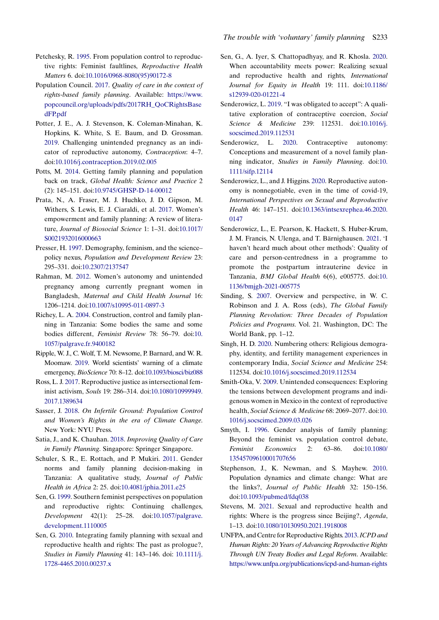- <span id="page-13-21"></span>Petchesky, R. [1995.](#page-5-9) From population control to reproductive rights: Feminist faultlines, Reproductive Health Matters 6. doi[:10.1016/0968-8080\(95\)90172-8](https://doi.org/10.1016/0968-8080(95)90172-8)
- <span id="page-13-8"></span>Population Council. [2017.](#page-2-7) Quality of care in the context of rights-based family planning. Available: [https://www.](https://www.popcouncil.org/uploads/pdfs/2017RH_QoCRightsBasedFP.pdf) [popcouncil.org/uploads/pdfs/2017RH\\_QoCRightsBase](https://www.popcouncil.org/uploads/pdfs/2017RH_QoCRightsBasedFP.pdf) [dFP.pdf](https://www.popcouncil.org/uploads/pdfs/2017RH_QoCRightsBasedFP.pdf)
- <span id="page-13-6"></span>Potter, J. E., A. J. Stevenson, K. Coleman-Minahan, K. Hopkins, K. White, S. E. Baum, and D. Grossman. [2019](#page-2-6). Challenging unintended pregnancy as an indicator of reproductive autonomy, Contraception: 4–7. doi:[10.1016/j.contraception.2019.02.005](https://doi.org/10.1016/j.contraception.2019.02.005)
- <span id="page-13-3"></span>Potts, M. [2014.](#page-2-21) Getting family planning and population back on track, Global Health: Science and Practice 2 (2): 145–151. doi:[10.9745/GHSP-D-14-00012](https://doi.org/10.9745/GHSP-D-14-00012)
- <span id="page-13-16"></span>Prata, N., A. Fraser, M. J. Huchko, J. D. Gipson, M. Withers, S. Lewis, E. J. Ciaraldi, et al. [2017](#page-4-5). Women's empowerment and family planning: A review of literature, Journal of Biosocial Science 1: 1–31. doi[:10.1017/](https://doi.org/10.1017/S0021932016000663) [S0021932016000663](https://doi.org/10.1017/S0021932016000663)
- <span id="page-13-2"></span>Presser, H. [1997](#page-2-21). Demography, feminism, and the science– policy nexus, Population and Development Review 23: 295–331. doi[:10.2307/2137547](https://doi.org/10.2307/2137547)
- <span id="page-13-5"></span>Rahman, M. [2012](#page-2-15). Women's autonomy and unintended pregnancy among currently pregnant women in Bangladesh, Maternal and Child Health Journal 16: 1206–1214. doi[:10.1007/s10995-011-0897-3](https://doi.org/10.1007/s10995-011-0897-3)
- <span id="page-13-25"></span>Richey, L. A. [2004](#page-9-4). Construction, control and family planning in Tanzania: Some bodies the same and some bodies different, Feminist Review 78: 56–79. doi:[10.](https://doi.org/10.1057/palgrave.fr.9400182) [1057/palgrave.fr.9400182](https://doi.org/10.1057/palgrave.fr.9400182)
- <span id="page-13-11"></span>Ripple, W. J., C. Wolf, T. M. Newsome, P. Barnard, and W. R. Moomaw. [2019.](#page-2-5) World scientists' warning of a climate emergency, BioScience 70: 8–12. doi:[10.1093/biosci/biz088](https://doi.org/10.1093/biosci/biz088)
- <span id="page-13-23"></span>Ross, L. J. [2017](#page-6-7). Reproductive justice as intersectional feminist activism, Souls 19: 286–314. doi:[10.1080/10999949.](https://doi.org/10.1080/10999949.2017.1389634) [2017.1389634](https://doi.org/10.1080/10999949.2017.1389634)
- <span id="page-13-19"></span>Sasser, J. [2018.](#page-5-10) On Infertile Ground: Population Control and Women's Rights in the era of Climate Change. New York: NYU Press.
- <span id="page-13-9"></span>Satia, J., and K. Chauhan. [2018.](#page-2-22) Improving Quality of Care in Family Planning. Singapore: Springer Singapore.
- <span id="page-13-18"></span>Schuler, S. R., E. Rottach, and P. Mukiri. [2011.](#page-5-11) Gender norms and family planning decision-making in Tanzania: A qualitative study, Journal of Public Health in Africa 2: 25. doi[:10.4081/jphia.2011.e25](https://doi.org/10.4081/jphia.2011.e25)
- <span id="page-13-12"></span>Sen, G. [1999.](#page-3-0) Southern feminist perspectives on population and reproductive rights: Continuing challenges, Development 42(1): 25–28. doi:[10.1057/palgrave.](https://doi.org/10.1057/palgrave.development.1110005) [development.1110005](https://doi.org/10.1057/palgrave.development.1110005)
- <span id="page-13-13"></span>Sen, G. [2010.](#page-3-9) Integrating family planning with sexual and reproductive health and rights: The past as prologue?, Studies in Family Planning 41: 143–146. doi: [10.1111/j.](https://doi.org/ 10.1111/j.1728-4465.2010.00237.x) [1728-4465.2010.00237.x](https://doi.org/ 10.1111/j.1728-4465.2010.00237.x)
- <span id="page-13-0"></span>Sen, G., A. Iyer, S. Chattopadhyay, and R. Khosla. [2020.](#page-1-1) When accountability meets power: Realizing sexual and reproductive health and rights, International Journal for Equity in Health 19: 111. doi[:10.1186/](https://doi.org/10.1186/s12939-020-01221-4) [s12939-020-01221-4](https://doi.org/10.1186/s12939-020-01221-4)
- <span id="page-13-17"></span>Senderowicz, L. [2019](#page-4-6). "I was obligated to accept": A qualitative exploration of contraceptive coercion, Social Science & Medicine 239: 112531. doi[:10.1016/j.](https://doi.org/10.1016/j.socscimed.2019.112531) [socscimed.2019.112531](https://doi.org/10.1016/j.socscimed.2019.112531)
- <span id="page-13-4"></span>Senderowicz, L. [2020.](#page-2-23) Contraceptive autonomy: Conceptions and measurement of a novel family planning indicator, Studies in Family Planning. doi:[10.](https://doi.org/10.1111/sifp.12114) [1111/sifp.12114](https://doi.org/10.1111/sifp.12114)
- <span id="page-13-7"></span>Senderowicz, L., and J. Higgins. [2020.](#page-2-18) Reproductive autonomy is nonnegotiable, even in the time of covid-19, International Perspectives on Sexual and Reproductive Health 46: 147–151. doi[:10.1363/intsexrephea.46.2020.](https://doi.org/10.1363/intsexrephea.46.2020.0147) [0147](https://doi.org/10.1363/intsexrephea.46.2020.0147)
- <span id="page-13-10"></span>Senderowicz, L., E. Pearson, K. Hackett, S. Huber-Krum, J. M. Francis, N. Ulenga, and T. Bärnighausen. [2021.](#page-2-22) 'I haven't heard much about other methods': Quality of care and person-centredness in a programme to promote the postpartum intrauterine device in Tanzania, BMJ Global Health 6(6), e005775. doi:[10.](https://doi.org/10.1136/bmjgh-2021-005775) [1136/bmjgh-2021-005775](https://doi.org/10.1136/bmjgh-2021-005775)
- <span id="page-13-1"></span>Sinding, S. [2007](#page-1-2). Overview and perspective, in W. C. Robinson and J. A. Ross (eds), The Global Family Planning Revolution: Three Decades of Population Policies and Programs. Vol. 21. Washington, DC: The World Bank, pp. 1–12.
- <span id="page-13-20"></span>Singh, H. D. [2020.](#page-5-12) Numbering others: Religious demography, identity, and fertility management experiences in contemporary India, Social Science and Medicine 254: 112534. doi:[10.1016/j.socscimed.2019.112534](https://doi.org/10.1016/j.socscimed.2019.112534)
- <span id="page-13-26"></span>Smith-Oka, V. [2009.](#page-9-3) Unintended consequences: Exploring the tensions between development programs and indigenous women in Mexico in the context of reproductive health, Social Science & Medicine 68: 2069–2077. doi:[10.](https://doi.org/10.1016/j.socscimed.2009.03.026) [1016/j.socscimed.2009.03.026](https://doi.org/10.1016/j.socscimed.2009.03.026)
- <span id="page-13-22"></span>Smyth, I. [1996.](#page-6-8) Gender analysis of family planning: Beyond the feminist vs. population control debate, Feminist Economics 2: 63–86. doi[:10.1080/](https://doi.org/10.1080/13545709610001707656) [13545709610001707656](https://doi.org/10.1080/13545709610001707656)
- <span id="page-13-15"></span>Stephenson, J., K. Newman, and S. Mayhew. [2010.](#page-3-8) Population dynamics and climate change: What are the links?, Journal of Public Health 32: 150–156. doi:[10.1093/pubmed/fdq038](https://doi.org/10.1093/pubmed/fdq038)
- <span id="page-13-24"></span>Stevens, M. [2021](#page-8-1). Sexual and reproductive health and rights: Where is the progress since Beijing?, Agenda, 1–13. doi:[10.1080/10130950.2021.1918008](https://doi.org/10.1080/10130950.2021.1918008)
- <span id="page-13-14"></span>UNFPA, and Centre for Reproductive Rights. [2013](#page-3-10).ICPD and Human Rights: 20 Years of Advancing Reproductive Rights Through UN Treaty Bodies and Legal Reform. Available: <https://www.unfpa.org/publications/icpd-and-human-rights>